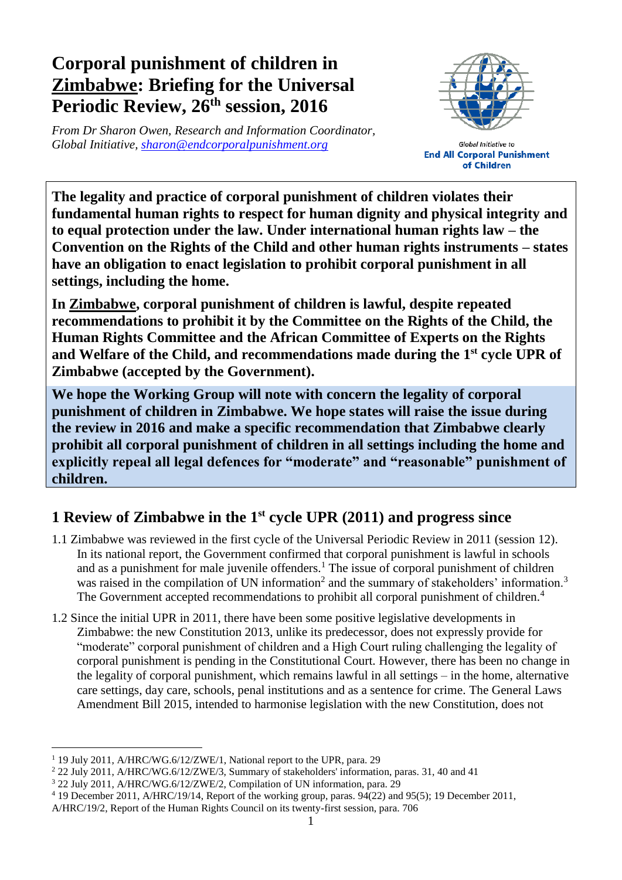# **Corporal punishment of children in Zimbabwe: Briefing for the Universal Periodic Review, 26 th session, 2016**

*From Dr Sharon Owen, Research and Information Coordinator, Global Initiative, [sharon@endcorporalpunishment.org](mailto:sharon@endcorporalpunishment.org)*



**Global Initiative to End All Corporal Punishment** of Children

**The legality and practice of corporal punishment of children violates their fundamental human rights to respect for human dignity and physical integrity and to equal protection under the law. Under international human rights law – the Convention on the Rights of the Child and other human rights instruments – states have an obligation to enact legislation to prohibit corporal punishment in all settings, including the home.**

**In Zimbabwe, corporal punishment of children is lawful, despite repeated recommendations to prohibit it by the Committee on the Rights of the Child, the Human Rights Committee and the African Committee of Experts on the Rights and Welfare of the Child, and recommendations made during the 1st cycle UPR of Zimbabwe (accepted by the Government).**

**We hope the Working Group will note with concern the legality of corporal punishment of children in Zimbabwe. We hope states will raise the issue during the review in 2016 and make a specific recommendation that Zimbabwe clearly prohibit all corporal punishment of children in all settings including the home and explicitly repeal all legal defences for "moderate" and "reasonable" punishment of children.**

## **1 Review of Zimbabwe in the 1st cycle UPR (2011) and progress since**

- 1.1 Zimbabwe was reviewed in the first cycle of the Universal Periodic Review in 2011 (session 12). In its national report, the Government confirmed that corporal punishment is lawful in schools and as a punishment for male juvenile offenders.<sup>1</sup> The issue of corporal punishment of children was raised in the compilation of UN information<sup>2</sup> and the summary of stakeholders' information.<sup>3</sup> The Government accepted recommendations to prohibit all corporal punishment of children.<sup>4</sup>
- 1.2 Since the initial UPR in 2011, there have been some positive legislative developments in Zimbabwe: the new Constitution 2013, unlike its predecessor, does not expressly provide for "moderate" corporal punishment of children and a High Court ruling challenging the legality of corporal punishment is pending in the Constitutional Court. However, there has been no change in the legality of corporal punishment, which remains lawful in all settings – in the home, alternative care settings, day care, schools, penal institutions and as a sentence for crime. The General Laws Amendment Bill 2015, intended to harmonise legislation with the new Constitution, does not

 $\overline{a}$ <sup>1</sup> 19 July 2011, A/HRC/WG.6/12/ZWE/1, National report to the UPR, para. 29

<sup>&</sup>lt;sup>2</sup> 22 July 2011, A/HRC/WG.6/12/ZWE/3, Summary of stakeholders' information, paras. 31, 40 and 41

<sup>&</sup>lt;sup>3</sup> 22 July 2011, A/HRC/WG.6/12/ZWE/2, Compilation of UN information, para. 29

<sup>4</sup> 19 December 2011, A/HRC/19/14, Report of the working group, paras. 94(22) and 95(5); 19 December 2011,

A/HRC/19/2, Report of the Human Rights Council on its twenty-first session, para. 706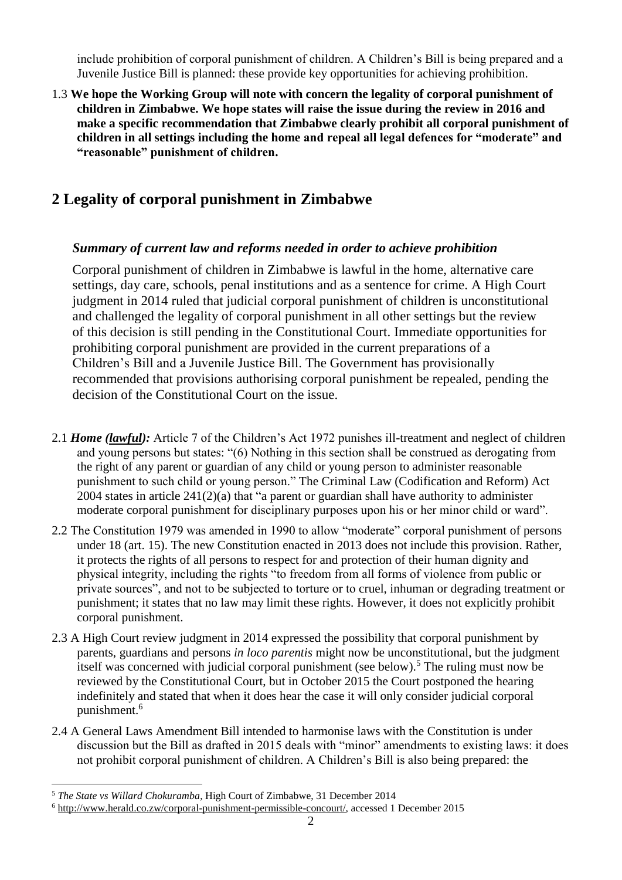include prohibition of corporal punishment of children. A Children's Bill is being prepared and a Juvenile Justice Bill is planned: these provide key opportunities for achieving prohibition.

1.3 **We hope the Working Group will note with concern the legality of corporal punishment of children in Zimbabwe. We hope states will raise the issue during the review in 2016 and make a specific recommendation that Zimbabwe clearly prohibit all corporal punishment of children in all settings including the home and repeal all legal defences for "moderate" and "reasonable" punishment of children.**

### **2 Legality of corporal punishment in Zimbabwe**

#### *Summary of current law and reforms needed in order to achieve prohibition*

Corporal punishment of children in Zimbabwe is lawful in the home, alternative care settings, day care, schools, penal institutions and as a sentence for crime. A High Court judgment in 2014 ruled that judicial corporal punishment of children is unconstitutional and challenged the legality of corporal punishment in all other settings but the review of this decision is still pending in the Constitutional Court. Immediate opportunities for prohibiting corporal punishment are provided in the current preparations of a Children's Bill and a Juvenile Justice Bill. The Government has provisionally recommended that provisions authorising corporal punishment be repealed, pending the decision of the Constitutional Court on the issue.

- 2.1 *Home (lawful):* Article 7 of the Children's Act 1972 punishes ill-treatment and neglect of children and young persons but states: "(6) Nothing in this section shall be construed as derogating from the right of any parent or guardian of any child or young person to administer reasonable punishment to such child or young person." The Criminal Law (Codification and Reform) Act 2004 states in article 241(2)(a) that "a parent or guardian shall have authority to administer moderate corporal punishment for disciplinary purposes upon his or her minor child or ward".
- 2.2 The Constitution 1979 was amended in 1990 to allow "moderate" corporal punishment of persons under 18 (art. 15). The new Constitution enacted in 2013 does not include this provision. Rather, it protects the rights of all persons to respect for and protection of their human dignity and physical integrity, including the rights "to freedom from all forms of violence from public or private sources", and not to be subjected to torture or to cruel, inhuman or degrading treatment or punishment; it states that no law may limit these rights. However, it does not explicitly prohibit corporal punishment.
- 2.3 A High Court review judgment in 2014 expressed the possibility that corporal punishment by parents, guardians and persons *in loco parentis* might now be unconstitutional, but the judgment itself was concerned with judicial corporal punishment (see below).<sup>5</sup> The ruling must now be reviewed by the Constitutional Court, but in October 2015 the Court postponed the hearing indefinitely and stated that when it does hear the case it will only consider judicial corporal punishment.<sup>6</sup>
- 2.4 A General Laws Amendment Bill intended to harmonise laws with the Constitution is under discussion but the Bill as drafted in 2015 deals with "minor" amendments to existing laws: it does not prohibit corporal punishment of children. A Children's Bill is also being prepared: the

 $\overline{a}$ <sup>5</sup> *The State vs Willard Chokuramba*, High Court of Zimbabwe, 31 December 2014

<sup>6</sup> [http://www.herald.co.zw/corporal-punishment-permissible-concourt/,](http://www.herald.co.zw/corporal-punishment-permissible-concourt/) accessed 1 December 2015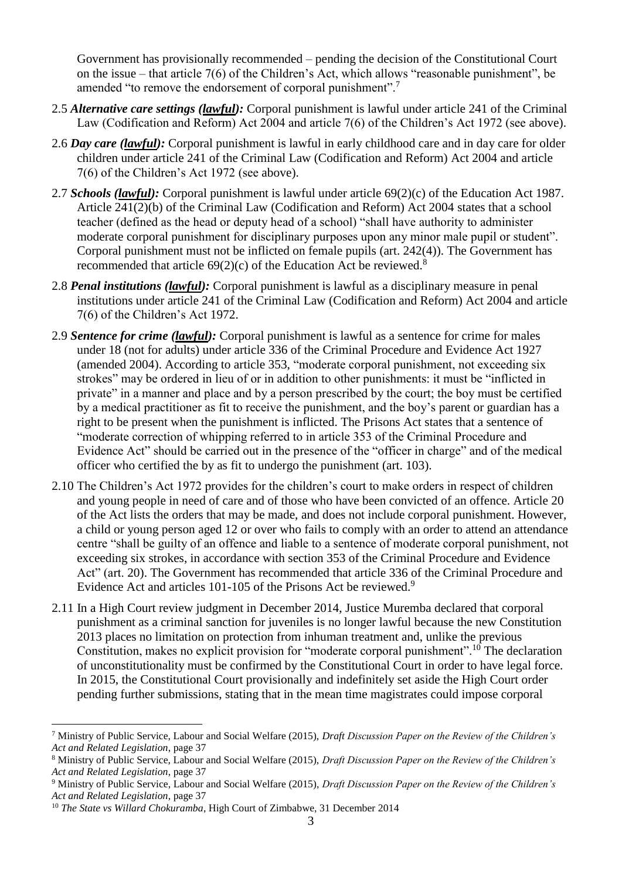Government has provisionally recommended – pending the decision of the Constitutional Court on the issue – that article 7(6) of the Children's Act, which allows "reasonable punishment", be amended "to remove the endorsement of corporal punishment".<sup>7</sup>

- 2.5 *Alternative care settings (lawful):* Corporal punishment is lawful under article 241 of the Criminal Law (Codification and Reform) Act 2004 and article 7(6) of the Children's Act 1972 (see above).
- 2.6 *Day care (lawful):* Corporal punishment is lawful in early childhood care and in day care for older children under article 241 of the Criminal Law (Codification and Reform) Act 2004 and article 7(6) of the Children's Act 1972 (see above).
- 2.7 *Schools (lawful):* Corporal punishment is lawful under article 69(2)(c) of the Education Act 1987. Article 241(2)(b) of the Criminal Law (Codification and Reform) Act 2004 states that a school teacher (defined as the head or deputy head of a school) "shall have authority to administer moderate corporal punishment for disciplinary purposes upon any minor male pupil or student". Corporal punishment must not be inflicted on female pupils (art. 242(4)). The Government has recommended that article  $69(2)(c)$  of the Education Act be reviewed.<sup>8</sup>
- 2.8 *Penal institutions (lawful):* Corporal punishment is lawful as a disciplinary measure in penal institutions under article 241 of the Criminal Law (Codification and Reform) Act 2004 and article 7(6) of the Children's Act 1972.
- 2.9 *Sentence for crime (lawful):* Corporal punishment is lawful as a sentence for crime for males under 18 (not for adults) under article 336 of the Criminal Procedure and Evidence Act 1927 (amended 2004). According to article 353, "moderate corporal punishment, not exceeding six strokes" may be ordered in lieu of or in addition to other punishments: it must be "inflicted in private" in a manner and place and by a person prescribed by the court; the boy must be certified by a medical practitioner as fit to receive the punishment, and the boy's parent or guardian has a right to be present when the punishment is inflicted. The Prisons Act states that a sentence of "moderate correction of whipping referred to in article 353 of the Criminal Procedure and Evidence Act" should be carried out in the presence of the "officer in charge" and of the medical officer who certified the by as fit to undergo the punishment (art. 103).
- 2.10 The Children's Act 1972 provides for the children's court to make orders in respect of children and young people in need of care and of those who have been convicted of an offence. Article 20 of the Act lists the orders that may be made, and does not include corporal punishment. However, a child or young person aged 12 or over who fails to comply with an order to attend an attendance centre "shall be guilty of an offence and liable to a sentence of moderate corporal punishment, not exceeding six strokes, in accordance with section 353 of the Criminal Procedure and Evidence Act" (art. 20). The Government has recommended that article 336 of the Criminal Procedure and Evidence Act and articles 101-105 of the Prisons Act be reviewed.<sup>9</sup>
- 2.11 In a High Court review judgment in December 2014, Justice Muremba declared that corporal punishment as a criminal sanction for juveniles is no longer lawful because the new Constitution 2013 places no limitation on protection from inhuman treatment and, unlike the previous Constitution, makes no explicit provision for "moderate corporal punishment".<sup>10</sup> The declaration of unconstitutionality must be confirmed by the Constitutional Court in order to have legal force. In 2015, the Constitutional Court provisionally and indefinitely set aside the High Court order pending further submissions, stating that in the mean time magistrates could impose corporal

 $\overline{a}$ 

<sup>7</sup> Ministry of Public Service, Labour and Social Welfare (2015), *Draft Discussion Paper on the Review of the Children's Act and Related Legislation*, page 37

<sup>8</sup> Ministry of Public Service, Labour and Social Welfare (2015), *Draft Discussion Paper on the Review of the Children's Act and Related Legislation*, page 37

<sup>9</sup> Ministry of Public Service, Labour and Social Welfare (2015), *Draft Discussion Paper on the Review of the Children's Act and Related Legislation*, page 37

<sup>&</sup>lt;sup>10</sup> *The State vs Willard Chokuramba*, High Court of Zimbabwe, 31 December 2014